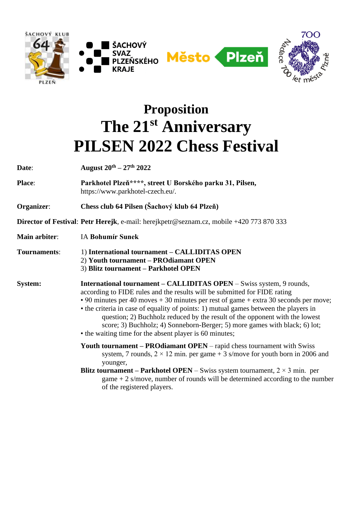







## **Proposition The 21st Anniversary PILSEN 2022 Chess Festival**

**Date**: **August 20th – 27th 2022**

**Place**: **Parkhotel Plzeň\*\*\*\*, street U Borského parku 31, Pilsen,**  https://www.parkhotel-czech.eu/.

**Organizer**: **Chess club 64 Pilsen (Šachový klub 64 Plzeň)**

**Director of Festival**: **Petr Herejk**, e-mail: herejkpetr@seznam.cz, mobile +420 773 870 333

**Main arbiter**: IA **Bohumír Sunek**

**Tournaments**: 1) **International tournament – CALLIDITAS OPEN** 2) **Youth tournament – PROdiamant OPEN** 3) **Blitz tournament – Parkhotel OPEN**

**System: International tournament – CALLIDITAS OPEN** – Swiss system, 9 rounds, according to FIDE rules and the results will be submitted for FIDE rating • 90 minutes per 40 moves + 30 minutes per rest of game + extra 30 seconds per move;

- the criteria in case of equality of points: 1) mutual games between the players in question; 2) Buchholz reduced by the result of the opponent with the lowest score; 3) Buchholz; 4) Sonneborn-Berger; 5) more games with black; 6) lot; • the waiting time for the absent player is 60 minutes;
- **Youth tournament – PROdiamant OPEN** rapid chess tournament with Swiss system, 7 rounds,  $2 \times 12$  min. per game + 3 s/move for youth born in 2006 and younger,
- **Blitz tournament Parkhotel OPEN** Swiss system tournament,  $2 \times 3$  min. per game  $+2$  s/move, number of rounds will be determined according to the number of the registered players.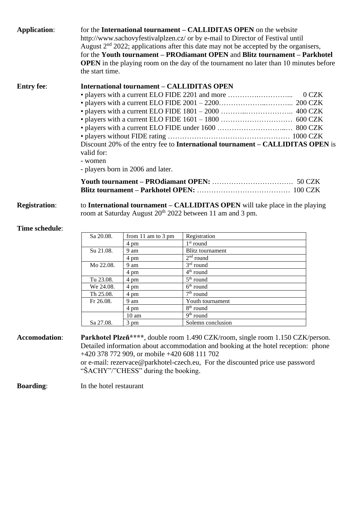| <b>Application:</b>  | for the International tournament - CALLIDITAS OPEN on the website<br>http://www.sachovyfestivalplzen.cz/ or by e-mail to Director of Festival until<br>August $2nd$ 2022; applications after this date may not be accepted by the organisers,<br>for the Youth tournament - PROdiamant OPEN and Blitz tournament - Parkhotel<br><b>OPEN</b> in the playing room on the day of the tournament no later than 10 minutes before<br>the start time. |                                                                                     |                                                                                                                                                                                                                                                        |  |  |  |  |  |  |  |
|----------------------|-------------------------------------------------------------------------------------------------------------------------------------------------------------------------------------------------------------------------------------------------------------------------------------------------------------------------------------------------------------------------------------------------------------------------------------------------|-------------------------------------------------------------------------------------|--------------------------------------------------------------------------------------------------------------------------------------------------------------------------------------------------------------------------------------------------------|--|--|--|--|--|--|--|
| <b>Entry fee:</b>    | <b>International tournament – CALLIDITAS OPEN</b><br>$0$ CZK<br>Discount 20% of the entry fee to International tournament – CALLIDITAS OPEN is<br>valid for:<br>- women<br>- players born in 2006 and later.                                                                                                                                                                                                                                    |                                                                                     |                                                                                                                                                                                                                                                        |  |  |  |  |  |  |  |
|                      |                                                                                                                                                                                                                                                                                                                                                                                                                                                 |                                                                                     |                                                                                                                                                                                                                                                        |  |  |  |  |  |  |  |
|                      |                                                                                                                                                                                                                                                                                                                                                                                                                                                 |                                                                                     |                                                                                                                                                                                                                                                        |  |  |  |  |  |  |  |
| <b>Registration:</b> | to International tournament – CALLIDITAS OPEN will take place in the playing<br>room at Saturday August 20 <sup>th</sup> 2022 between 11 am and 3 pm.                                                                                                                                                                                                                                                                                           |                                                                                     |                                                                                                                                                                                                                                                        |  |  |  |  |  |  |  |
| Time schedule:       |                                                                                                                                                                                                                                                                                                                                                                                                                                                 |                                                                                     |                                                                                                                                                                                                                                                        |  |  |  |  |  |  |  |
|                      | Sa 20.08.                                                                                                                                                                                                                                                                                                                                                                                                                                       | from 11 am to 3 pm                                                                  | Registration                                                                                                                                                                                                                                           |  |  |  |  |  |  |  |
|                      |                                                                                                                                                                                                                                                                                                                                                                                                                                                 | 4 pm                                                                                | $1st$ round                                                                                                                                                                                                                                            |  |  |  |  |  |  |  |
|                      | Su 21.08.<br>Mo 22.08.                                                                                                                                                                                                                                                                                                                                                                                                                          | 9 am                                                                                | <b>Blitz</b> tournament                                                                                                                                                                                                                                |  |  |  |  |  |  |  |
|                      |                                                                                                                                                                                                                                                                                                                                                                                                                                                 | 4 pm                                                                                | $2nd$ round                                                                                                                                                                                                                                            |  |  |  |  |  |  |  |
|                      |                                                                                                                                                                                                                                                                                                                                                                                                                                                 | 9 am                                                                                | $3rd$ round                                                                                                                                                                                                                                            |  |  |  |  |  |  |  |
|                      |                                                                                                                                                                                                                                                                                                                                                                                                                                                 | 4 pm                                                                                | 4 <sup>th</sup> round                                                                                                                                                                                                                                  |  |  |  |  |  |  |  |
|                      | Tu 23.08.                                                                                                                                                                                                                                                                                                                                                                                                                                       | 4 pm                                                                                | 5 <sup>th</sup> round                                                                                                                                                                                                                                  |  |  |  |  |  |  |  |
|                      | We 24.08.                                                                                                                                                                                                                                                                                                                                                                                                                                       | 4 pm                                                                                | $6th$ round                                                                                                                                                                                                                                            |  |  |  |  |  |  |  |
|                      | Th 25.08.                                                                                                                                                                                                                                                                                                                                                                                                                                       | 4 pm                                                                                | $7th$ round                                                                                                                                                                                                                                            |  |  |  |  |  |  |  |
|                      | Fr 26.08.                                                                                                                                                                                                                                                                                                                                                                                                                                       | 9 am                                                                                | Youth tournament                                                                                                                                                                                                                                       |  |  |  |  |  |  |  |
|                      |                                                                                                                                                                                                                                                                                                                                                                                                                                                 | 4 pm                                                                                | 8 <sup>th</sup> round<br>9 <sup>th</sup> round                                                                                                                                                                                                         |  |  |  |  |  |  |  |
|                      |                                                                                                                                                                                                                                                                                                                                                                                                                                                 | 10 <sub>am</sub>                                                                    | Solemn conclusion                                                                                                                                                                                                                                      |  |  |  |  |  |  |  |
|                      | Sa 27.08.                                                                                                                                                                                                                                                                                                                                                                                                                                       | 3 pm                                                                                |                                                                                                                                                                                                                                                        |  |  |  |  |  |  |  |
| <b>Accomodation:</b> |                                                                                                                                                                                                                                                                                                                                                                                                                                                 | +420 378 772 909, or mobile +420 608 111 702<br>"ŠACHY"/"CHESS" during the booking. | Parkhotel Plzeň****, double room 1.490 CZK/room, single room 1.150 CZK/person.<br>Detailed information about accommodation and booking at the hotel reception: phone<br>or e-mail: rezervace@parkhotel-czech.eu, For the discounted price use password |  |  |  |  |  |  |  |
| <b>Boarding:</b>     | In the hotel restaurant                                                                                                                                                                                                                                                                                                                                                                                                                         |                                                                                     |                                                                                                                                                                                                                                                        |  |  |  |  |  |  |  |